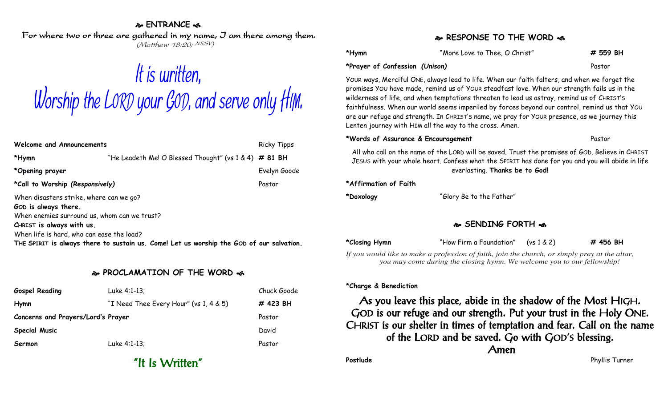## **ENTRANCE**

For where two or three are gathered in my name, I am there among them. (Matthew 18:20; NRSV)

# It is written, Worship the LORD your GOD, and serve only HIM.

| Welcome and Announcements                                                                                                                                                                 |                                                         | <b>Ricky Tipps</b> |  |  |
|-------------------------------------------------------------------------------------------------------------------------------------------------------------------------------------------|---------------------------------------------------------|--------------------|--|--|
| *Hymn                                                                                                                                                                                     | "He Leadeth Me! O Blessed Thought" (vs $1 & 4)$ # 81 BH |                    |  |  |
| *Opening prayer                                                                                                                                                                           |                                                         | Evelyn Goode       |  |  |
| *Call to Worship (Responsively)                                                                                                                                                           |                                                         | Pastor             |  |  |
| When disasters strike, where can we go?<br>GOD is always there.<br>When enemies surround us, whom can we trust?<br>CHRIST is always with us.<br>When life is hard, who can ease the load? |                                                         |                    |  |  |
| THE SPIRIT is always there to sustain us. Come! Let us worship the GOD of our salvation.                                                                                                  |                                                         |                    |  |  |

## **PROCLAMATION OF THE WORD**

| <b>Gospel Reading</b>              | Luke 4:1-13;                           | Chuck Goode |
|------------------------------------|----------------------------------------|-------------|
| Hymn                               | "I Need Thee Every Hour" (vs 1, 4 & 5) | # 423 BH    |
| Concerns and Prayers/Lord's Prayer |                                        | Pastor      |
| <b>Special Music</b>               |                                        | David       |
| Sermon                             | Luke 4:1-13;                           | Pastor      |

"It Is Written"

## **RESPONSE TO THE WORD**

| *Hymn                          | "More Love to Thee, O Christ" | # 559 BH |
|--------------------------------|-------------------------------|----------|
| *Prayer of Confession (Unison) |                               | Pastor   |

YOUR ways, Merciful ONE, always lead to life. When our faith falters, and when we forget the promises YOU have made, remind us of YOUR steadfast love. When our strength fails us in the wilderness of life, and when temptations threaten to lead us astray, remind us of CHRIST'S faithfulness. When our world seems imperiled by forces beyond our control, remind us that YOU are our refuge and strength. In CHRIST'S name, we pray for YOUR presence, as we journey this Lenten journey with HIM all the way to the cross. Amen.

#### **\*Words of Assurance & Encouragement** Pastor

All who call on the name of the LORD will be saved. Trust the promises of GOD. Believe in CHRIST JESUS with your whole heart. Confess what the SPIRIT has done for you and you will abide in life everlasting. **Thanks be to God!**

#### **\*Affirmation of Faith**

**\*Doxology** "Glory Be to the Father"

## **SENDING FORTH**

**\*Closing Hymn** "How Firm a Foundation" (vs 1 & 2) **# 456 BH**

*If you would like to make a profession of faith, join the church, or simply pray at the altar, you may come during the closing hymn. We welcome you to our fellowship!*

#### **\*Charge & Benediction**

As you leave this place, abide in the shadow of the Most HIGH. GOD is our refuge and our strength. Put your trust in the Holy ONE. CHRIST is our shelter in times of temptation and fear. Call on the name of the LORD and be saved. Go with GOD'S blessing. Amen

**Postlude** Postlude Phyllis Turner Phyllis Turner Phyllis Turner Phyllis Turner Phyllis Turner Phyllis Turner Phyllis Turner Phyllis Turner Phyllis Turner Phyllis Turner Phyllis Turner Phyllis Turner Phyllis Turner Phyllis